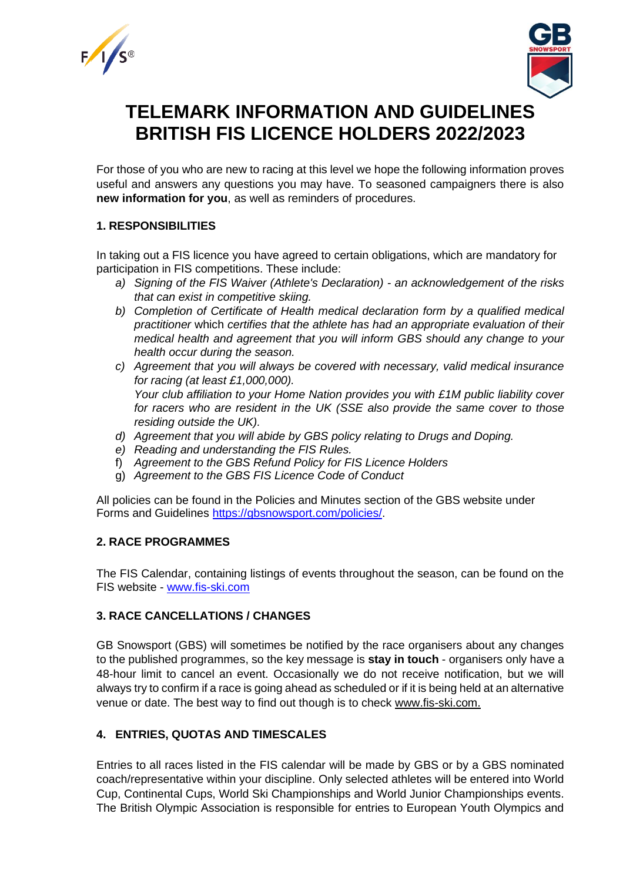



# **TELEMARK INFORMATION AND GUIDELINES BRITISH FIS LICENCE HOLDERS 2022/2023**

For those of you who are new to racing at this level we hope the following information proves useful and answers any questions you may have. To seasoned campaigners there is also **new information for you**, as well as reminders of procedures.

# **1. RESPONSIBILITIES**

In taking out a FIS licence you have agreed to certain obligations, which are mandatory for participation in FIS competitions. These include:

- *a) Signing of the FIS Waiver (Athlete's Declaration) - an acknowledgement of the risks that can exist in competitive skiing.*
- *b) Completion of Certificate of Health medical declaration form by a qualified medical practitioner* which *certifies that the athlete has had an appropriate evaluation of their medical health and agreement that you will inform GBS should any change to your health occur during the season.*
- *c) Agreement that you will always be covered with necessary, valid medical insurance for racing (at least £1,000,000). Your club affiliation to your Home Nation provides you with £1M public liability cover for racers who are resident in the UK (SSE also provide the same cover to those residing outside the UK).*
- *d) Agreement that you will abide by GBS policy relating to Drugs and Doping.*
- *e) Reading and understanding the FIS Rules.*
- f) *Agreement to the GBS Refund Policy for FIS Licence Holders*
- g) *Agreement to the GBS FIS Licence Code of Conduct*

All policies can be found in the Policies and Minutes section of the GBS website under Forms and Guidelines [https://gbsnowsport.com/policies/.](https://gbsnowsport.com/policies/)

# **2. RACE PROGRAMMES**

The FIS Calendar, containing listings of events throughout the season, can be found on the FIS website - [www.fis-ski.com](http://www.fis-ski.com/)

# **3. RACE CANCELLATIONS / CHANGES**

GB Snowsport (GBS) will sometimes be notified by the race organisers about any changes to the published programmes, so the key message is **stay in touch** - organisers only have a 48-hour limit to cancel an event. Occasionally we do not receive notification, but we will always try to confirm if a race is going ahead as scheduled or if it is being held at an alternative venue or date. The best way to find out though is to check [www.fis-ski.com.](http://www.fis-ski.com/)

# **4. ENTRIES, QUOTAS AND TIMESCALES**

Entries to all races listed in the FIS calendar will be made by GBS or by a GBS nominated coach/representative within your discipline. Only selected athletes will be entered into World Cup, Continental Cups, World Ski Championships and World Junior Championships events. The British Olympic Association is responsible for entries to European Youth Olympics and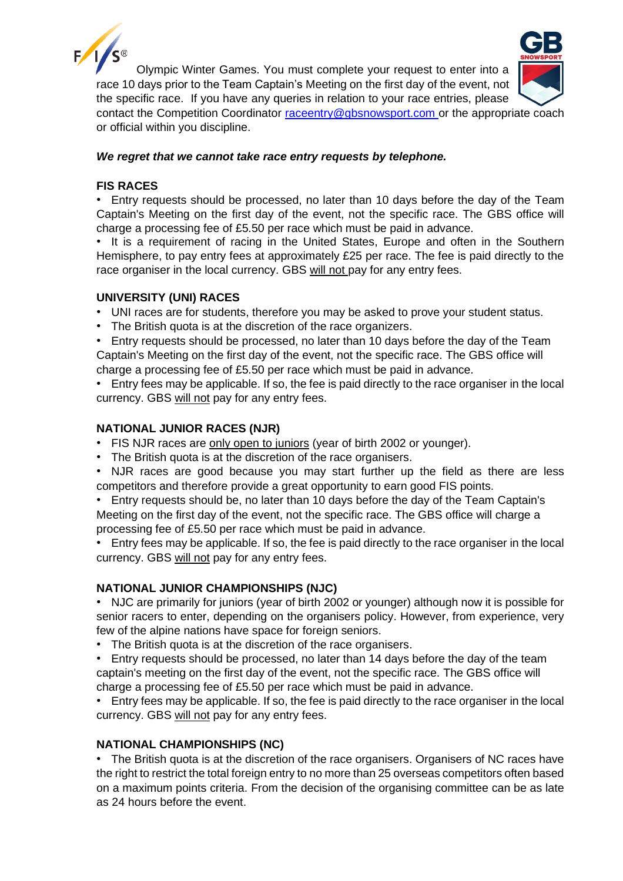



Olympic Winter Games. You must complete your request to enter into a race 10 days prior to the Team Captain's Meeting on the first day of the event, not

the specific race. If you have any queries in relation to your race entries, please contact the Competition Coordinator [raceentry@gbsnowsport.com](mailto:raceentry@gbsnowsport.com) or the appropriate coach or official within you discipline.

## *We regret that we cannot take race entry requests by telephone.*

# **FIS RACES**

• Entry requests should be processed, no later than 10 days before the day of the Team Captain's Meeting on the first day of the event, not the specific race. The GBS office will charge a processing fee of £5.50 per race which must be paid in advance.

It is a requirement of racing in the United States, Europe and often in the Southern Hemisphere, to pay entry fees at approximately £25 per race. The fee is paid directly to the race organiser in the local currency. GBS will not pay for any entry fees.

## **UNIVERSITY (UNI) RACES**

- UNI races are for students, therefore you may be asked to prove your student status.
- The British quota is at the discretion of the race organizers.

• Entry requests should be processed, no later than 10 days before the day of the Team Captain's Meeting on the first day of the event, not the specific race. The GBS office will charge a processing fee of £5.50 per race which must be paid in advance.

• Entry fees may be applicable. If so, the fee is paid directly to the race organiser in the local currency. GBS will not pay for any entry fees.

# **NATIONAL JUNIOR RACES (NJR)**

- FIS NJR races are only open to juniors (year of birth 2002 or younger).
- The British quota is at the discretion of the race organisers.

• NJR races are good because you may start further up the field as there are less competitors and therefore provide a great opportunity to earn good FIS points.

• Entry requests should be, no later than 10 days before the day of the Team Captain's Meeting on the first day of the event, not the specific race. The GBS office will charge a processing fee of £5.50 per race which must be paid in advance.

• Entry fees may be applicable. If so, the fee is paid directly to the race organiser in the local currency. GBS will not pay for any entry fees.

## **NATIONAL JUNIOR CHAMPIONSHIPS (NJC)**

• NJC are primarily for juniors (year of birth 2002 or younger) although now it is possible for senior racers to enter, depending on the organisers policy. However, from experience, very few of the alpine nations have space for foreign seniors.

• The British quota is at the discretion of the race organisers.

• Entry requests should be processed, no later than 14 days before the day of the team captain's meeting on the first day of the event, not the specific race. The GBS office will charge a processing fee of £5.50 per race which must be paid in advance.

• Entry fees may be applicable. If so, the fee is paid directly to the race organiser in the local currency. GBS will not pay for any entry fees.

## **NATIONAL CHAMPIONSHIPS (NC)**

• The British quota is at the discretion of the race organisers. Organisers of NC races have the right to restrict the total foreign entry to no more than 25 overseas competitors often based on a maximum points criteria. From the decision of the organising committee can be as late as 24 hours before the event.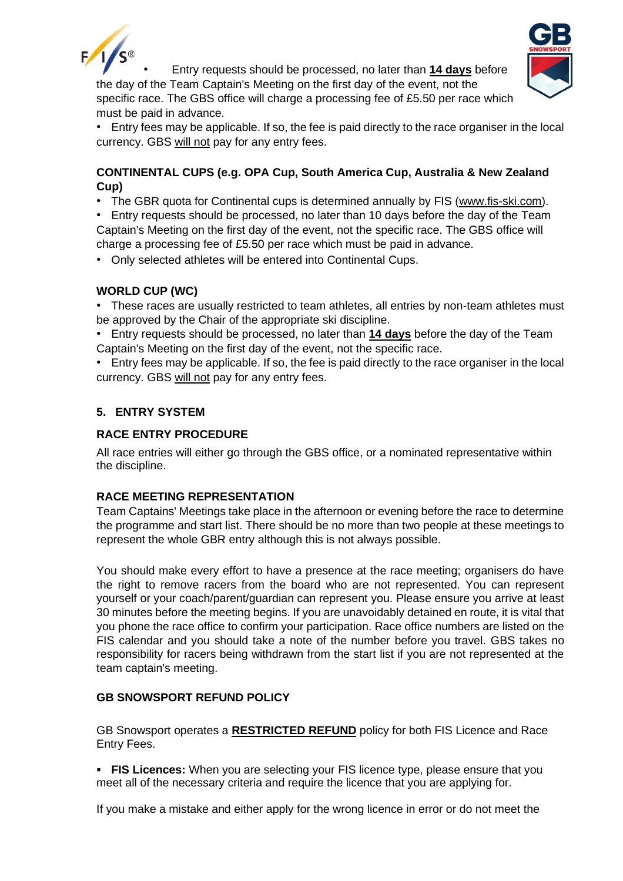



• Entry requests should be processed, no later than **14 days** before the day of the Team Captain's Meeting on the first day of the event, not the specific race. The GBS office will charge a processing fee of £5.50 per race which must be paid in advance.

• Entry fees may be applicable. If so, the fee is paid directly to the race organiser in the local currency. GBS will not pay for any entry fees.

# **CONTINENTAL CUPS (e.g. OPA Cup, South America Cup, Australia & New Zealand Cup)**

• The GBR quota for Continental cups is determined annually by FIS [\(www.fis-ski.com\)](http://www.fis-ski.com/).

• Entry requests should be processed, no later than 10 days before the day of the Team Captain's Meeting on the first day of the event, not the specific race. The GBS office will charge a processing fee of £5.50 per race which must be paid in advance.

• Only selected athletes will be entered into Continental Cups.

# **WORLD CUP (WC)**

• These races are usually restricted to team athletes, all entries by non-team athletes must be approved by the Chair of the appropriate ski discipline.

- Entry requests should be processed, no later than **14 days** before the day of the Team Captain's Meeting on the first day of the event, not the specific race.
- Entry fees may be applicable. If so, the fee is paid directly to the race organiser in the local currency. GBS will not pay for any entry fees.

# **5. ENTRY SYSTEM**

# **RACE ENTRY PROCEDURE**

All race entries will either go through the GBS office, or a nominated representative within the discipline.

# **RACE MEETING REPRESENTATION**

Team Captains' Meetings take place in the afternoon or evening before the race to determine the programme and start list. There should be no more than two people at these meetings to represent the whole GBR entry although this is not always possible.

You should make every effort to have a presence at the race meeting; organisers do have the right to remove racers from the board who are not represented. You can represent yourself or your coach/parent/guardian can represent you. Please ensure you arrive at least 30 minutes before the meeting begins. If you are unavoidably detained en route, it is vital that you phone the race office to confirm your participation. Race office numbers are listed on the FIS calendar and you should take a note of the number before you travel. GBS takes no responsibility for racers being withdrawn from the start list if you are not represented at the team captain's meeting.

## **GB SNOWSPORT REFUND POLICY**

GB Snowsport operates a **RESTRICTED REFUND** policy for both FIS Licence and Race Entry Fees.

**• FIS Licences:** When you are selecting your FIS licence type, please ensure that you meet all of the necessary criteria and require the licence that you are applying for.

If you make a mistake and either apply for the wrong licence in error or do not meet the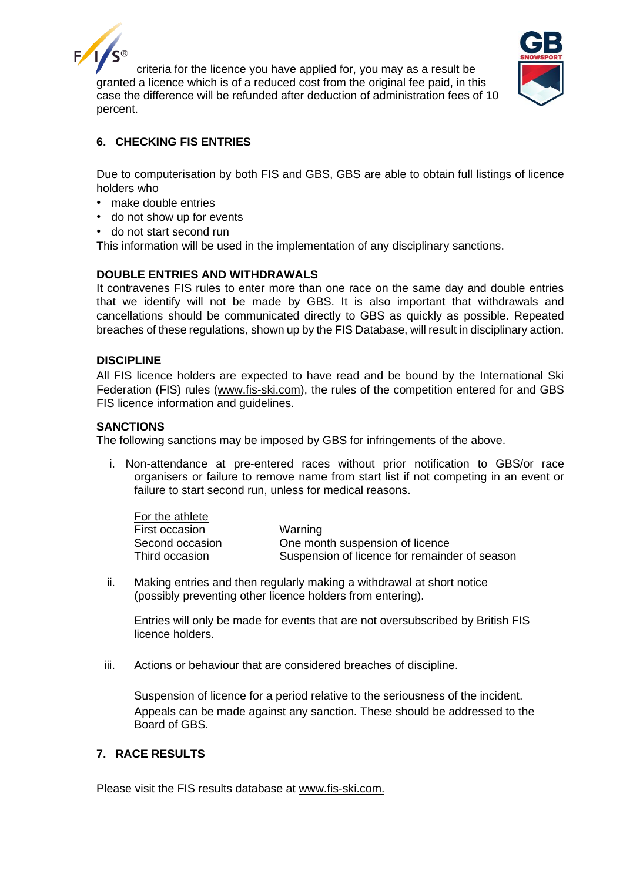

criteria for the licence you have applied for, you may as a result be granted a licence which is of a reduced cost from the original fee paid, in this case the difference will be refunded after deduction of administration fees of 10 percent.



# **6. CHECKING FIS ENTRIES**

Due to computerisation by both FIS and GBS, GBS are able to obtain full listings of licence holders who

- make double entries
- do not show up for events
- do not start second run

This information will be used in the implementation of any disciplinary sanctions.

# **DOUBLE ENTRIES AND WITHDRAWALS**

It contravenes FIS rules to enter more than one race on the same day and double entries that we identify will not be made by GBS. It is also important that withdrawals and cancellations should be communicated directly to GBS as quickly as possible. Repeated breaches of these regulations, shown up by the FIS Database, will result in disciplinary action.

#### **DISCIPLINE**

All FIS licence holders are expected to have read and be bound by the International Ski Federation (FIS) rules [\(www.fis-ski.com\)](http://www.fis-ski.com/), the rules of the competition entered for and GBS FIS licence information and guidelines.

#### **SANCTIONS**

The following sanctions may be imposed by GBS for infringements of the above.

i. Non-attendance at pre-entered races without prior notification to GBS/or race organisers or failure to remove name from start list if not competing in an event or failure to start second run, unless for medical reasons.

| For the athlete |                                               |
|-----------------|-----------------------------------------------|
| First occasion  | Warning                                       |
| Second occasion | One month suspension of licence               |
| Third occasion  | Suspension of licence for remainder of season |

ii. Making entries and then regularly making a withdrawal at short notice (possibly preventing other licence holders from entering).

Entries will only be made for events that are not oversubscribed by British FIS licence holders.

iii. Actions or behaviour that are considered breaches of discipline.

Suspension of licence for a period relative to the seriousness of the incident. Appeals can be made against any sanction. These should be addressed to the Board of GBS.

# **7. RACE RESULTS**

Please visit the FIS results database at [www.fis-ski.com.](http://www.fis-ski.com/)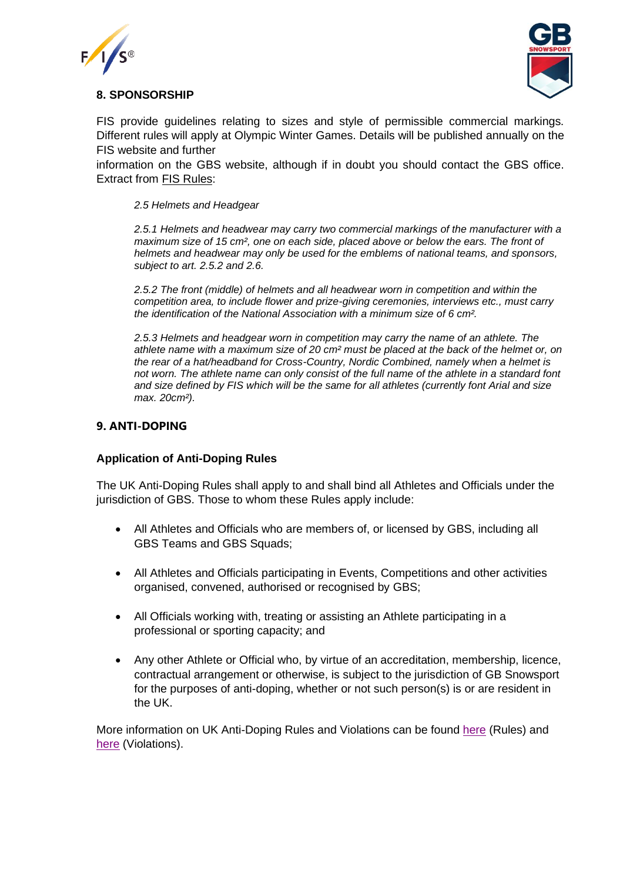



# **8. SPONSORSHIP**

FIS provide guidelines relating to sizes and style of permissible commercial markings. Different rules will apply at Olympic Winter Games. Details will be published annually on the FIS website and further

information on the GBS website, although if in doubt you should contact the GBS office. Extract from [FIS Rules:](https://assets.fis-ski.com/image/upload/v1556105290/fis-prod/assets/Specifications_Commercial_Markings_on_Equipment_2019-20.pdf)

#### *2.5 Helmets and Headgear*

*2.5.1 Helmets and headwear may carry two commercial markings of the manufacturer with a maximum size of 15 cm², one on each side, placed above or below the ears. The front of helmets and headwear may only be used for the emblems of national teams, and sponsors, subject to art. 2.5.2 and 2.6.* 

*2.5.2 The front (middle) of helmets and all headwear worn in competition and within the competition area, to include flower and prize-giving ceremonies, interviews etc., must carry the identification of the National Association with a minimum size of 6 cm².*

*2.5.3 Helmets and headgear worn in competition may carry the name of an athlete. The athlete name with a maximum size of 20 cm² must be placed at the back of the helmet or, on the rear of a hat/headband for Cross-Country, Nordic Combined, namely when a helmet is not worn. The athlete name can only consist of the full name of the athlete in a standard font and size defined by FIS which will be the same for all athletes (currently font Arial and size max. 20cm²).*

## **9. ANTI-DOPING**

## **Application of Anti-Doping Rules**

The UK Anti-Doping Rules shall apply to and shall bind all Athletes and Officials under the jurisdiction of GBS. Those to whom these Rules apply include:

- All Athletes and Officials who are members of, or licensed by GBS, including all GBS Teams and GBS Squads;
- All Athletes and Officials participating in Events, Competitions and other activities organised, convened, authorised or recognised by GBS;
- All Officials working with, treating or assisting an Athlete participating in a professional or sporting capacity; and
- Any other Athlete or Official who, by virtue of an accreditation, membership, licence, contractual arrangement or otherwise, is subject to the jurisdiction of GB Snowsport for the purposes of anti-doping, whether or not such person(s) is or are resident in the UK.

More information on UK Anti-Doping Rules and Violations can be found [here](https://www.ukad.org.uk/about/anti-doping-rules) (Rules) and [here](https://www.ukad.org.uk/sites/default/files/2020-12/UKAD%20ADRV%20infographic%20FINAL_0.pdf) (Violations).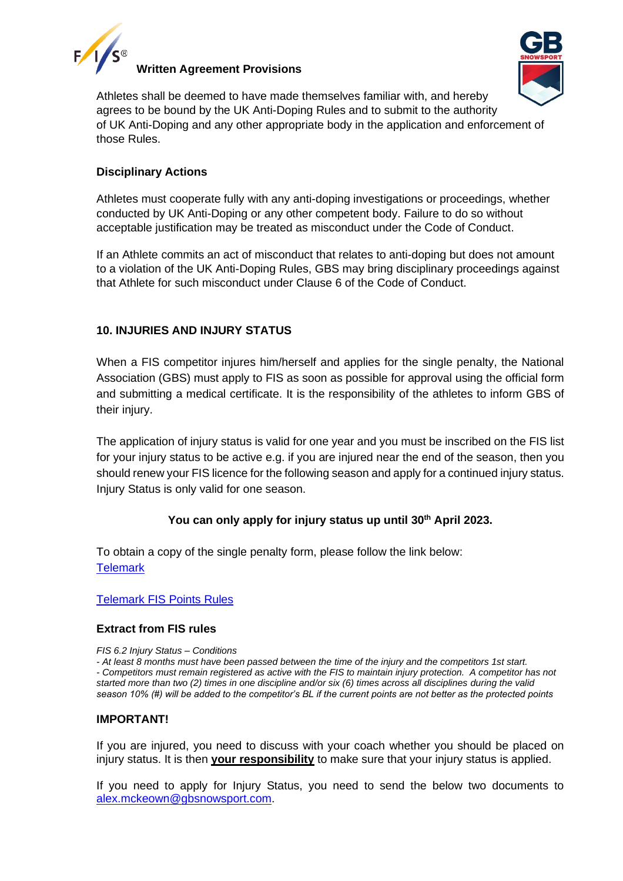

### **Written Agreement Provisions**



Athletes shall be deemed to have made themselves familiar with, and hereby agrees to be bound by the UK Anti-Doping Rules and to submit to the authority of UK Anti-Doping and any other appropriate body in the application and enforcement of those Rules.

# **Disciplinary Actions**

Athletes must cooperate fully with any anti-doping investigations or proceedings, whether conducted by UK Anti-Doping or any other competent body. Failure to do so without acceptable justification may be treated as misconduct under the Code of Conduct.

If an Athlete commits an act of misconduct that relates to anti-doping but does not amount to a violation of the UK Anti-Doping Rules, GBS may bring disciplinary proceedings against that Athlete for such misconduct under Clause 6 of the Code of Conduct.

# **10. INJURIES AND INJURY STATUS**

When a FIS competitor injures him/herself and applies for the single penalty, the National Association (GBS) must apply to FIS as soon as possible for approval using the official form and submitting a medical certificate. It is the responsibility of the athletes to inform GBS of their injury.

The application of injury status is valid for one year and you must be inscribed on the FIS list for your injury status to be active e.g. if you are injured near the end of the season, then you should renew your FIS licence for the following season and apply for a continued injury status. Injury Status is only valid for one season.

# **You can only apply for injury status up until 30th April 2023.**

To obtain a copy of the single penalty form, please follow the link below: **[Telemark](https://gbsnowsport.com/wp-content/uploads/2021/05/Injury_Form_Telemark.pdf)** 

## [Telemark FIS Points Rules](https://assets.fis-ski.com/image/upload/v1536945033/fis-prod/assets/FIS_Points_Rules_Telemark.pdf)

## **Extract from FIS rules**

*FIS 6.2 Injury Status – Conditions*

*- At least 8 months must have been passed between the time of the injury and the competitors 1st start. - Competitors must remain registered as active with the FIS to maintain injury protection. A competitor has not started more than two (2) times in one discipline and/or six (6) times across all disciplines during the valid season 10% (#) will be added to the competitor's BL if the current points are not better as the protected points*

## **IMPORTANT!**

If you are injured, you need to discuss with your coach whether you should be placed on injury status. It is then **your responsibility** to make sure that your injury status is applied.

If you need to apply for Injury Status, you need to send the below two documents to [alex.mckeown@gbsnowsport.com.](mailto:alex.mckeown@gbsnowsport.com)